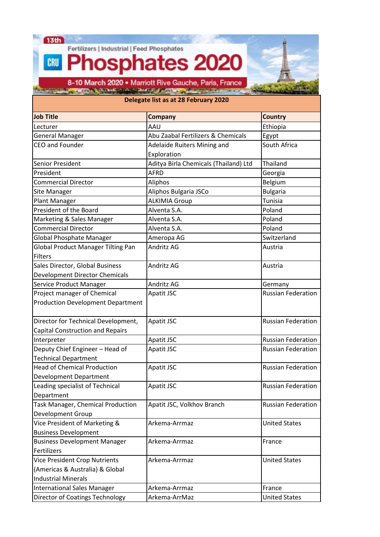$13<sup>th</sup>$ 

Fertilizers | Industrial | Feed Phosphates

## **Phosphates 2020** CRU

8-10 March 2020 • Marriott Rive Gauche, Paris, France <u> San ganda ya shi na katika mata ya Afrika ya Kama ya Kilima ya Kilima ya Kilima ya Kilima ya Kilima ya Kilima</u>

| Delegate list as at 28 February 2020      |                                       |                           |
|-------------------------------------------|---------------------------------------|---------------------------|
| <b>Job Title</b>                          | Company                               | <b>Country</b>            |
| Lecturer                                  | AAU                                   | Ethiopia                  |
| <b>General Manager</b>                    | Abu Zaabal Fertilizers & Chemicals    | Egypt                     |
| <b>CEO and Founder</b>                    | Adelaide Ruiters Mining and           | South Africa              |
|                                           | Exploration                           |                           |
| Senior President                          | Aditya Birla Chemicals (Thailand) Ltd | <b>Thailand</b>           |
| President                                 | <b>AFRD</b>                           | Georgia                   |
| <b>Commercial Director</b>                | Aliphos                               | Belgium                   |
| Site Manager                              | Aliphos Bulgaria JSCo                 | <b>Bulgaria</b>           |
| Plant Manager                             | <b>ALKIMIA Group</b>                  | Tunisia                   |
| President of the Board                    | Alventa S.A.                          | Poland                    |
| Marketing & Sales Manager                 | Alventa S.A.                          | Poland                    |
| <b>Commercial Director</b>                | Alventa S.A.                          | Poland                    |
| <b>Global Phosphate Manager</b>           | Ameropa AG                            | Switzerland               |
| <b>Global Product Manager Tilting Pan</b> | Andritz AG                            | Austria                   |
| <b>Filters</b>                            |                                       |                           |
| Sales Director, Global Business           | Andritz AG                            | Austria                   |
| <b>Development Director Chemicals</b>     |                                       |                           |
| Service Product Manager                   | Andritz AG                            | Germany                   |
| Project manager of Chemical               | Apatit JSC                            | <b>Russian Federation</b> |
| <b>Production Development Department</b>  |                                       |                           |
| Director for Technical Development,       | <b>Apatit JSC</b>                     | <b>Russian Federation</b> |
| <b>Capital Construction and Repairs</b>   |                                       |                           |
| Interpreter                               | Apatit JSC                            | <b>Russian Federation</b> |
| Deputy Chief Engineer - Head of           | Apatit JSC                            | <b>Russian Federation</b> |
| <b>Technical Department</b>               |                                       |                           |
| <b>Head of Chemical Production</b>        | Apatit JSC                            | <b>Russian Federation</b> |
| <b>Development Department</b>             |                                       |                           |
| Leading specialist of Technical           | Apatit JSC                            | <b>Russian Federation</b> |
| Department                                |                                       |                           |
| Task Manager, Chemical Production         | Apatit JSC, Volkhov Branch            | <b>Russian Federation</b> |
| Development Group                         |                                       |                           |
| Vice President of Marketing &             | Arkema-Arrmaz                         | <b>United States</b>      |
| <b>Business Development</b>               |                                       |                           |
| <b>Business Development Manager</b>       | Arkema-Arrmaz                         | France                    |
| Fertilizers                               |                                       |                           |
| Vice President Crop Nutrients             | Arkema-Arrmaz                         | <b>United States</b>      |
| (Americas & Australia) & Global           |                                       |                           |
| <b>Industrial Minerals</b>                |                                       |                           |
| <b>International Sales Manager</b>        | Arkema-Arrmaz                         | France                    |

|Director of Coatings Technology ||Arkema-ArrMaz ||Markema-ArrMaz ||United States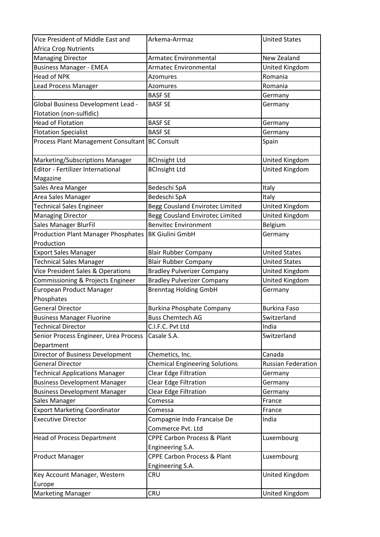| Vice President of Middle East and              | Arkema-Arrmaz                          | <b>United States</b>      |
|------------------------------------------------|----------------------------------------|---------------------------|
| <b>Africa Crop Nutrients</b>                   |                                        |                           |
| <b>Managing Director</b>                       | <b>Armatec Environmental</b>           | New Zealand               |
| <b>Business Manager - EMEA</b>                 | Armatec Environmental                  | United Kingdom            |
| <b>Head of NPK</b>                             | <b>Azomures</b>                        | Romania                   |
| <b>Lead Process Manager</b>                    | <b>Azomures</b>                        | Romania                   |
|                                                | <b>BASF SE</b>                         | Germany                   |
| Global Business Development Lead -             | <b>BASF SE</b>                         | Germany                   |
| Flotation (non-sulfidic)                       |                                        |                           |
| <b>Head of Flotation</b>                       | <b>BASF SE</b>                         | Germany                   |
| <b>Flotation Specialist</b>                    | <b>BASF SE</b>                         | Germany                   |
| Process Plant Management Consultant BC Consult |                                        | Spain                     |
| Marketing/Subscriptions Manager                | <b>BCInsight Ltd</b>                   | United Kingdom            |
| Editor - Fertilizer International              | <b>BCInsight Ltd</b>                   | United Kingdom            |
| Magazine                                       |                                        |                           |
| Sales Area Manger                              | Bedeschi SpA                           | Italy                     |
| Area Sales Manager                             | Bedeschi SpA                           | Italy                     |
| <b>Technical Sales Engineer</b>                | Begg Cousland Envirotec Limited        | United Kingdom            |
| <b>Managing Director</b>                       | Begg Cousland Envirotec Limited        | United Kingdom            |
| Sales Manager BlurFil                          | <b>Benvitec Environment</b>            | Belgium                   |
| <b>Production Plant Manager Phosphates</b>     | <b>BK Giulini GmbH</b>                 | Germany                   |
| Production                                     |                                        |                           |
| <b>Export Sales Manager</b>                    | <b>Blair Rubber Company</b>            | <b>United States</b>      |
| <b>Technical Sales Manager</b>                 | <b>Blair Rubber Company</b>            | <b>United States</b>      |
| Vice President Sales & Operations              | <b>Bradley Pulverizer Company</b>      | United Kingdom            |
| Commissioning & Projects Engineer              | <b>Bradley Pulverizer Company</b>      | United Kingdom            |
| European Product Manager                       | <b>Brenntag Holding GmbH</b>           | Germany                   |
| Phosphates                                     |                                        |                           |
| <b>General Director</b>                        | <b>Burkina Phosphate Company</b>       | <b>Burkina Faso</b>       |
| <b>Business Manager Fluorine</b>               | <b>Buss Chemtech AG</b>                | Switzerland               |
| <b>Technical Director</b>                      | C.I.F.C. Pvt Ltd                       | India                     |
| Senior Process Engineer, Urea Process          | Casale S.A.                            | Switzerland               |
| Department                                     |                                        |                           |
| Director of Business Development               | Chemetics, Inc.                        | Canada                    |
| <b>General Director</b>                        | <b>Chemical Engineering Solutions</b>  | <b>Russian Federation</b> |
| <b>Technical Applications Manager</b>          | <b>Clear Edge Filtration</b>           | Germany                   |
| <b>Business Development Manager</b>            | <b>Clear Edge Filtration</b>           | Germany                   |
| <b>Business Development Manager</b>            | <b>Clear Edge Filtration</b>           | Germany                   |
| Sales Manager                                  | Comessa                                | France                    |
| <b>Export Marketing Coordinator</b>            | Comessa                                | France                    |
| <b>Executive Director</b>                      | Compagnie Indo Francaise De            | India                     |
|                                                | Commerce Pvt. Ltd                      |                           |
| <b>Head of Process Department</b>              | <b>CPPE Carbon Process &amp; Plant</b> | Luxembourg                |
|                                                | Engineering S.A.                       |                           |
| <b>Product Manager</b>                         | <b>CPPE Carbon Process &amp; Plant</b> | Luxembourg                |
|                                                | Engineering S.A.                       |                           |
| Key Account Manager, Western                   | <b>CRU</b>                             | United Kingdom            |
| Europe                                         |                                        |                           |
| <b>Marketing Manager</b>                       | <b>CRU</b>                             | United Kingdom            |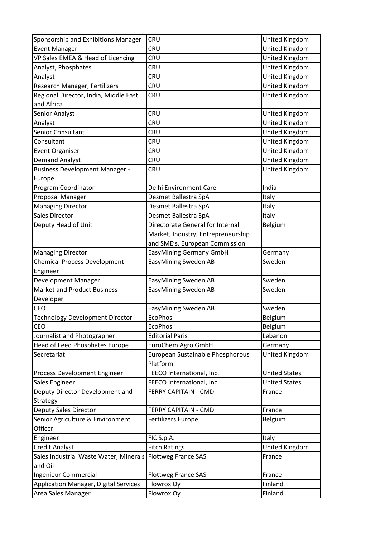| Sponsorship and Exhibitions Manager          | <b>CRU</b>                                   | United Kingdom       |
|----------------------------------------------|----------------------------------------------|----------------------|
| <b>Event Manager</b>                         | CRU                                          | United Kingdom       |
| VP Sales EMEA & Head of Licencing            | <b>CRU</b>                                   | United Kingdom       |
| Analyst, Phosphates                          | <b>CRU</b>                                   | United Kingdom       |
| Analyst                                      | <b>CRU</b>                                   | United Kingdom       |
| Research Manager, Fertilizers                | <b>CRU</b>                                   | United Kingdom       |
| Regional Director, India, Middle East        | <b>CRU</b>                                   | United Kingdom       |
| and Africa                                   |                                              |                      |
| Senior Analyst                               | <b>CRU</b>                                   | United Kingdom       |
| Analyst                                      | CRU                                          | United Kingdom       |
| Senior Consultant                            | <b>CRU</b>                                   | United Kingdom       |
| Consultant                                   | <b>CRU</b>                                   | United Kingdom       |
| <b>Event Organiser</b>                       | CRU                                          | United Kingdom       |
| <b>Demand Analyst</b>                        | <b>CRU</b>                                   | United Kingdom       |
| <b>Business Development Manager -</b>        | <b>CRU</b>                                   | United Kingdom       |
| Europe                                       |                                              |                      |
| Program Coordinator                          | Delhi Environment Care                       | India                |
| Proposal Manager                             | Desmet Ballestra SpA                         | Italy                |
| <b>Managing Director</b>                     | Desmet Ballestra SpA                         | Italy                |
| <b>Sales Director</b>                        | Desmet Ballestra SpA                         | Italy                |
| Deputy Head of Unit                          | Directorate General for Internal             | Belgium              |
|                                              | Market, Industry, Entrepreneurship           |                      |
|                                              | and SME's, European Commission               |                      |
| <b>Managing Director</b>                     | EasyMining Germany GmbH                      | Germany              |
| <b>Chemical Process Development</b>          | <b>EasyMining Sweden AB</b>                  | Sweden               |
| Engineer                                     |                                              |                      |
| Development Manager                          | EasyMining Sweden AB                         | Sweden               |
| <b>Market and Product Business</b>           | EasyMining Sweden AB                         | Sweden               |
| Developer                                    |                                              |                      |
| <b>CEO</b>                                   | EasyMining Sweden AB                         | Sweden               |
| <b>Technology Development Director</b>       | <b>EcoPhos</b>                               | Belgium              |
| CEO                                          | <b>EcoPhos</b>                               | Belgium              |
| Journalist and Photographer                  | <b>Editorial Paris</b>                       | Lebanon              |
| Head of Feed Phosphates Europe               | EuroChem Agro GmbH                           | Germany              |
| Secretariat                                  | European Sustainable Phosphorous<br>Platform | United Kingdom       |
| Process Development Engineer                 | FEECO International, Inc.                    | <b>United States</b> |
| Sales Engineer                               | FEECO International, Inc.                    | <b>United States</b> |
| Deputy Director Development and              | <b>FERRY CAPITAIN - CMD</b>                  | France               |
| Strategy                                     |                                              |                      |
| <b>Deputy Sales Director</b>                 | FERRY CAPITAIN - CMD                         | France               |
| Senior Agriculture & Environment             | <b>Fertilizers Europe</b>                    | Belgium              |
| Officer                                      |                                              |                      |
| Engineer                                     | FIC S.p.A.                                   | Italy                |
| <b>Credit Analyst</b>                        | <b>Fitch Ratings</b>                         | United Kingdom       |
| Sales Industrial Waste Water, Minerals       | <b>Flottweg France SAS</b>                   | France               |
| and Oil                                      |                                              |                      |
| Ingenieur Commercial                         | <b>Flottweg France SAS</b>                   | France               |
| <b>Application Manager, Digital Services</b> | Flowrox Oy                                   | Finland              |
| Area Sales Manager                           | Flowrox Oy                                   | Finland              |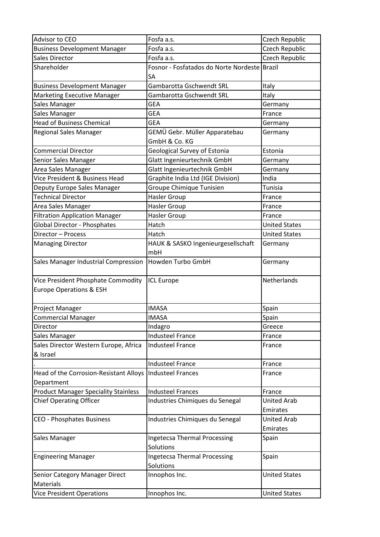| Advisor to CEO                              | Fosfa a.s.                                   | Czech Republic        |
|---------------------------------------------|----------------------------------------------|-----------------------|
| <b>Business Development Manager</b>         | Fosfa a.s.                                   | <b>Czech Republic</b> |
| Sales Director                              | Fosfa a.s.                                   | Czech Republic        |
| Shareholder                                 | Fosnor - Fosfatados do Norte Nordeste Brazil |                       |
|                                             | SA                                           |                       |
| <b>Business Development Manager</b>         | Gambarotta Gschwendt SRL                     | Italy                 |
| <b>Marketing Executive Manager</b>          | Gambarotta Gschwendt SRL                     | Italy                 |
| Sales Manager                               | <b>GEA</b>                                   | Germany               |
| Sales Manager                               | <b>GEA</b>                                   | France                |
| <b>Head of Business Chemical</b>            | <b>GEA</b>                                   | Germany               |
| <b>Regional Sales Manager</b>               | GEMÜ Gebr. Müller Apparatebau                | Germany               |
|                                             | GmbH & Co. KG                                |                       |
| <b>Commercial Director</b>                  | Geological Survey of Estonia                 | Estonia               |
| Senior Sales Manager                        | Glatt Ingenieurtechnik GmbH                  | Germany               |
| Area Sales Manager                          | Glatt Ingenieurtechnik GmbH                  | Germany               |
| Vice President & Business Head              | Graphite India Ltd (IGE Division)            | India                 |
| Deputy Europe Sales Manager                 | Groupe Chimique Tunisien                     | Tunisia               |
| <b>Technical Director</b>                   | <b>Hasler Group</b>                          | France                |
| Area Sales Manager                          | <b>Hasler Group</b>                          | France                |
| <b>Filtration Application Manager</b>       | <b>Hasler Group</b>                          | France                |
| <b>Global Director - Phosphates</b>         | Hatch                                        | <b>United States</b>  |
| Director - Process                          | Hatch                                        | <b>United States</b>  |
| <b>Managing Director</b>                    | HAUK & SASKO Ingenieurgesellschaft           | Germany               |
|                                             | mbH                                          |                       |
| Sales Manager Industrial Compression        | Howden Turbo GmbH                            | Germany               |
| Vice President Phosphate Commodity          | <b>ICL Europe</b>                            | Netherlands           |
| <b>Europe Operations &amp; ESH</b>          |                                              |                       |
|                                             |                                              |                       |
| Project Manager                             | <b>IMASA</b>                                 | Spain                 |
| <b>Commercial Manager</b>                   | <b>IMASA</b>                                 | Spain                 |
| Director                                    | Indagro                                      | Greece                |
| Sales Manager                               | <b>Industeel France</b>                      | France                |
| Sales Director Western Europe, Africa       | <b>Industeel France</b>                      | France                |
| & Israel                                    |                                              |                       |
|                                             | <b>Industeel France</b>                      | France                |
| Head of the Corrosion-Resistant Alloys      | <b>Industeel Frances</b>                     | France                |
| Department                                  |                                              |                       |
| <b>Product Manager Speciality Stainless</b> | <b>Industeel Frances</b>                     | France                |
| <b>Chief Operating Officer</b>              | Industries Chimiques du Senegal              | <b>United Arab</b>    |
|                                             |                                              | Emirates              |
| CEO - Phosphates Business                   | Industries Chimiques du Senegal              | <b>United Arab</b>    |
|                                             |                                              | Emirates              |
| Sales Manager                               | <b>Ingetecsa Thermal Processing</b>          | Spain                 |
|                                             | Solutions                                    |                       |
| <b>Engineering Manager</b>                  | <b>Ingetecsa Thermal Processing</b>          | Spain                 |
|                                             | Solutions                                    |                       |
| Senior Category Manager Direct              | Innophos Inc.                                | <b>United States</b>  |
| <b>Materials</b>                            |                                              |                       |
| <b>Vice President Operations</b>            | Innophos Inc.                                | <b>United States</b>  |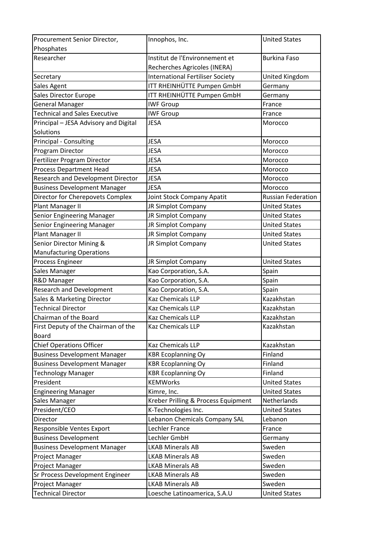| Procurement Senior Director,          | Innophos, Inc.                          | <b>United States</b>      |
|---------------------------------------|-----------------------------------------|---------------------------|
| Phosphates                            |                                         |                           |
| Researcher                            | Institut de l'Environnement et          | <b>Burkina Faso</b>       |
|                                       | Recherches Agricoles (INERA)            |                           |
| Secretary                             | <b>International Fertiliser Society</b> | United Kingdom            |
| Sales Agent                           | ITT RHEINHÜTTE Pumpen GmbH              | Germany                   |
| Sales Director Europe                 | ITT RHEINHÜTTE Pumpen GmbH              | Germany                   |
| <b>General Manager</b>                | <b>IWF Group</b>                        | France                    |
| <b>Technical and Sales Executive</b>  | <b>IWF Group</b>                        | France                    |
| Principal - JESA Advisory and Digital | <b>JESA</b>                             | Morocco                   |
| Solutions                             |                                         |                           |
| <b>Principal - Consulting</b>         | <b>JESA</b>                             | Morocco                   |
| Program Director                      | <b>JESA</b>                             | Morocco                   |
| Fertilizer Program Director           | <b>JESA</b>                             | Morocco                   |
| <b>Process Department Head</b>        | <b>JESA</b>                             | Morocco                   |
| Research and Development Director     | <b>JESA</b>                             | Morocco                   |
| <b>Business Development Manager</b>   | <b>JESA</b>                             | Morocco                   |
| Director for Cherepovets Complex      | Joint Stock Company Apatit              | <b>Russian Federation</b> |
| Plant Manager II                      | JR Simplot Company                      | <b>United States</b>      |
| Senior Engineering Manager            | JR Simplot Company                      | <b>United States</b>      |
| Senior Engineering Manager            | JR Simplot Company                      | <b>United States</b>      |
| Plant Manager II                      | JR Simplot Company                      | <b>United States</b>      |
| Senior Director Mining &              | JR Simplot Company                      | <b>United States</b>      |
| <b>Manufacturing Operations</b>       |                                         |                           |
| Process Engineer                      | JR Simplot Company                      | <b>United States</b>      |
| Sales Manager                         | Kao Corporation, S.A.                   | Spain                     |
| R&D Manager                           | Kao Corporation, S.A.                   | Spain                     |
| <b>Research and Development</b>       | Kao Corporation, S.A.                   | Spain                     |
| Sales & Marketing Director            | <b>Kaz Chemicals LLP</b>                | Kazakhstan                |
| <b>Technical Director</b>             | <b>Kaz Chemicals LLP</b>                | Kazakhstan                |
| Chairman of the Board                 | <b>Kaz Chemicals LLP</b>                | Kazakhstan                |
| First Deputy of the Chairman of the   | Kaz Chemicals LLP                       | Kazakhstan                |
| <b>Board</b>                          |                                         |                           |
| <b>Chief Operations Officer</b>       | <b>Kaz Chemicals LLP</b>                | Kazakhstan                |
| <b>Business Development Manager</b>   | <b>KBR Ecoplanning Oy</b>               | Finland                   |
| <b>Business Development Manager</b>   | <b>KBR Ecoplanning Oy</b>               | Finland                   |
| <b>Technology Manager</b>             | <b>KBR Ecoplanning Oy</b>               | Finland                   |
| President                             | <b>KEMWorks</b>                         | <b>United States</b>      |
| <b>Engineering Manager</b>            | Kimre, Inc.                             | <b>United States</b>      |
| Sales Manager                         | Kreber Prilling & Process Equipment     | Netherlands               |
| President/CEO                         | K-Technologies Inc.                     | <b>United States</b>      |
| Director                              | Lebanon Chemicals Company SAL           | Lebanon                   |
| Responsible Ventes Export             | Lechler France                          | France                    |
| <b>Business Development</b>           | Lechler GmbH                            | Germany                   |
| <b>Business Development Manager</b>   | <b>LKAB Minerals AB</b>                 | Sweden                    |
| Project Manager                       | <b>LKAB Minerals AB</b>                 | Sweden                    |
| Project Manager                       | <b>LKAB Minerals AB</b>                 | Sweden                    |
| Sr Process Development Engineer       | <b>LKAB Minerals AB</b>                 | Sweden                    |
| Project Manager                       | <b>LKAB Minerals AB</b>                 | Sweden                    |
| <b>Technical Director</b>             | Loesche Latinoamerica, S.A.U            | <b>United States</b>      |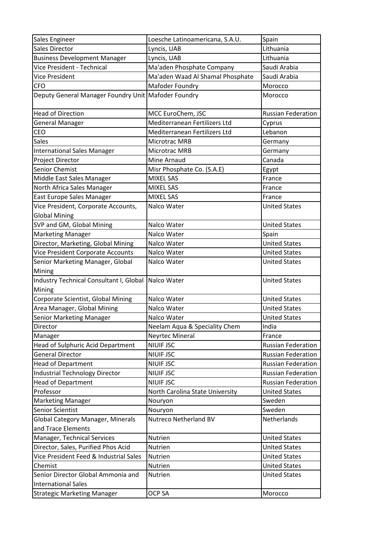| Sales Engineer                                      | Loesche Latinoamericana, S.A.U.  | Spain                     |
|-----------------------------------------------------|----------------------------------|---------------------------|
| <b>Sales Director</b>                               | Lyncis, UAB                      | Lithuania                 |
| <b>Business Development Manager</b>                 | Lyncis, UAB                      | Lithuania                 |
| Vice President - Technical                          | Ma'aden Phosphate Company        | Saudi Arabia              |
| <b>Vice President</b>                               | Ma'aden Waad Al Shamal Phosphate | Saudi Arabia              |
| <b>CFO</b>                                          | Mafoder Foundry                  | Morocco                   |
| Deputy General Manager Foundry Unit Mafoder Foundry |                                  | Morocco                   |
|                                                     |                                  |                           |
| <b>Head of Direction</b>                            | MCC EuroChem, JSC                | <b>Russian Federation</b> |
| <b>General Manager</b>                              | Mediterranean Fertilizers Ltd    | Cyprus                    |
| CEO                                                 | Mediterranean Fertilizers Ltd    | Lebanon                   |
| <b>Sales</b>                                        | Microtrac MRB                    | Germany                   |
| <b>International Sales Manager</b>                  | Microtrac MRB                    | Germany                   |
| Project Director                                    | Mine Arnaud                      | Canada                    |
| <b>Senior Chemist</b>                               | Misr Phosphate Co. (S.A.E)       | Egypt                     |
| Middle East Sales Manager                           | <b>MIXEL SAS</b>                 | France                    |
| North Africa Sales Manager                          | <b>MIXEL SAS</b>                 | France                    |
| East Europe Sales Manager                           | <b>MIXEL SAS</b>                 | France                    |
| Vice President, Corporate Accounts,                 | Nalco Water                      | <b>United States</b>      |
| <b>Global Mining</b>                                |                                  |                           |
| SVP and GM, Global Mining                           | Nalco Water                      | <b>United States</b>      |
| <b>Marketing Manager</b>                            | Nalco Water                      | Spain                     |
| Director, Marketing, Global Mining                  | Nalco Water                      | <b>United States</b>      |
| Vice President Corporate Accounts                   | Nalco Water                      | <b>United States</b>      |
| Senior Marketing Manager, Global                    | Nalco Water                      | <b>United States</b>      |
| Mining                                              |                                  |                           |
| Industry Technical Consultant I, Global Nalco Water |                                  | <b>United States</b>      |
| Mining                                              |                                  |                           |
| Corporate Scientist, Global Mining                  | Nalco Water                      | <b>United States</b>      |
| Area Manager, Global Mining                         | Nalco Water                      | <b>United States</b>      |
| <b>Senior Marketing Manager</b>                     | Nalco Water                      | <b>United States</b>      |
| Director                                            | Neelam Aqua & Speciality Chem    | India                     |
| Manager                                             | <b>Neyrtec Mineral</b>           | France                    |
| Head of Sulphuric Acid Department                   | <b>NIUIF JSC</b>                 | <b>Russian Federation</b> |
| <b>General Director</b>                             | <b>NIUIF JSC</b>                 | <b>Russian Federation</b> |
| <b>Head of Department</b>                           | <b>NIUIF JSC</b>                 | <b>Russian Federation</b> |
| <b>Industrial Technology Director</b>               | <b>NIUIF JSC</b>                 | <b>Russian Federation</b> |
| <b>Head of Department</b>                           | <b>NIUIF JSC</b>                 | <b>Russian Federation</b> |
| Professor                                           | North Carolina State University  | <b>United States</b>      |
| <b>Marketing Manager</b>                            | Nouryon                          | Sweden                    |
| Senior Scientist                                    | Nouryon                          | Sweden                    |
| Global Category Manager, Minerals                   | Nutreco Netherland BV            | Netherlands               |
| and Trace Elements                                  |                                  |                           |
| Manager, Technical Services                         | Nutrien                          | <b>United States</b>      |
| Director, Sales, Purified Phos Acid                 | Nutrien                          | <b>United States</b>      |
| Vice President Feed & Industrial Sales              | Nutrien                          | <b>United States</b>      |
| Chemist                                             | Nutrien                          | <b>United States</b>      |
| Senior Director Global Ammonia and                  | Nutrien                          | <b>United States</b>      |
| <b>International Sales</b>                          |                                  |                           |
| <b>Strategic Marketing Manager</b>                  | OCP SA                           | Morocco                   |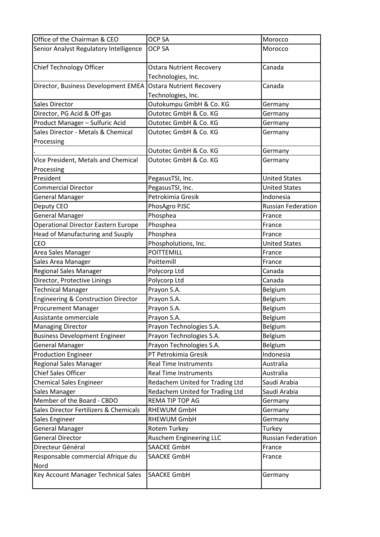| Office of the Chairman & CEO                      | <b>OCP SA</b>                   | Morocco                   |
|---------------------------------------------------|---------------------------------|---------------------------|
| Senior Analyst Regulatory Intelligence            | <b>OCP SA</b>                   | Morocco                   |
| Chief Technology Officer                          | <b>Ostara Nutrient Recovery</b> | Canada                    |
|                                                   | Technologies, Inc.              |                           |
| Director, Business Development EMEA               | <b>Ostara Nutrient Recovery</b> | Canada                    |
|                                                   | Technologies, Inc.              |                           |
| Sales Director                                    | Outokumpu GmbH & Co. KG         | Germany                   |
| Director, PG Acid & Off-gas                       | Outotec GmbH & Co. KG           | Germany                   |
| Product Manager - Sulfuric Acid                   | Outotec GmbH & Co. KG           | Germany                   |
| Sales Director - Metals & Chemical                | Outotec GmbH & Co. KG           | Germany                   |
| Processing                                        |                                 |                           |
|                                                   | Outotec GmbH & Co. KG           | Germany                   |
| Vice President, Metals and Chemical<br>Processing | Outotec GmbH & Co. KG           | Germany                   |
| President                                         | PegasusTSI, Inc.                | <b>United States</b>      |
| <b>Commercial Director</b>                        | PegasusTSI, Inc.                | <b>United States</b>      |
| <b>General Manager</b>                            | Petrokimia Gresik               | Indonesia                 |
| Deputy CEO                                        | PhosAgro PJSC                   | <b>Russian Federation</b> |
| <b>General Manager</b>                            | Phosphea                        | France                    |
| <b>Operational Director Eastern Europe</b>        | Phosphea                        | France                    |
| Head of Manufacturing and Suuply                  | Phosphea                        | France                    |
| CEO                                               | Phospholutions, Inc.            | <b>United States</b>      |
| Area Sales Manager                                | <b>POITTEMILL</b>               | France                    |
| Sales Area Manager                                | Poittemill                      | France                    |
| <b>Regional Sales Manager</b>                     | Polycorp Ltd                    | Canada                    |
| Director, Protective Linings                      | Polycorp Ltd                    | Canada                    |
| <b>Technical Manager</b>                          | Prayon S.A.                     | Belgium                   |
| Engineering & Construction Director               | Prayon S.A.                     | Belgium                   |
| Procurement Manager                               | Prayon S.A.                     | Belgium                   |
| Assistante ommerciale                             | Prayon S.A.                     | Belgium                   |
| <b>Managing Director</b>                          | Prayon Technologies S.A.        | <b>Belgium</b>            |
| <b>Business Development Engineer</b>              | Prayon Technologies S.A.        | Belgium                   |
| <b>General Manager</b>                            | Prayon Technologies S.A.        | Belgium                   |
| <b>Production Engineer</b>                        | PT Petrokimia Gresik            | Indonesia                 |
| <b>Regional Sales Manager</b>                     | <b>Real Time Instruments</b>    | Australia                 |
| <b>Chief Sales Officer</b>                        | <b>Real Time Instruments</b>    | Australia                 |
| <b>Chemical Sales Engineer</b>                    | Redachem United for Trading Ltd | Saudi Arabia              |
| Sales Manager                                     | Redachem United for Trading Ltd | Saudi Arabia              |
| Member of the Board - CBDO                        | REMA TIP TOP AG                 | Germany                   |
| Sales Director Fertilizers & Chemicals            | RHEWUM GmbH                     | Germany                   |
| Sales Engineer                                    | RHEWUM GmbH                     | Germany                   |
| <b>General Manager</b>                            | <b>Rotem Turkey</b>             | Turkey                    |
| <b>General Director</b>                           | Ruschem Engineering LLC         | <b>Russian Federation</b> |
| Directeur Général                                 | <b>SAACKE GmbH</b>              | France                    |
| Responsable commercial Afrique du                 | <b>SAACKE GmbH</b>              | France                    |
| Nord                                              |                                 |                           |
| Key Account Manager Technical Sales               | SAACKE GmbH                     | Germany                   |
|                                                   |                                 |                           |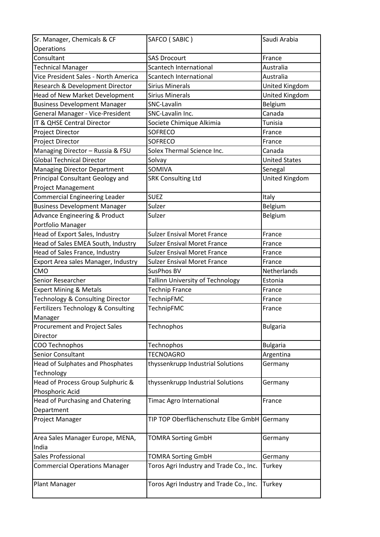| Sr. Manager, Chemicals & CF                 | SAFCO (SABIC)                           | Saudi Arabia          |
|---------------------------------------------|-----------------------------------------|-----------------------|
| Operations                                  |                                         |                       |
| Consultant                                  | <b>SAS Drocourt</b>                     | France                |
| <b>Technical Manager</b>                    | <b>Scantech International</b>           | Australia             |
| Vice President Sales - North America        | <b>Scantech International</b>           | Australia             |
| Research & Development Director             | <b>Sirius Minerals</b>                  | United Kingdom        |
| Head of New Market Development              | <b>Sirius Minerals</b>                  | United Kingdom        |
| <b>Business Development Manager</b>         | SNC-Lavalin                             | Belgium               |
| General Manager - Vice-President            | SNC-Lavalin Inc.                        | Canada                |
| IT & QHSE Central Director                  | Societe Chimique Alkimia                | Tunisia               |
| Project Director                            | <b>SOFRECO</b>                          | France                |
| Project Director                            | <b>SOFRECO</b>                          | France                |
| Managing Director - Russia & FSU            | Solex Thermal Science Inc.              | Canada                |
| <b>Global Technical Director</b>            | Solvay                                  | <b>United States</b>  |
| <b>Managing Director Department</b>         | SOMIVA                                  | Senegal               |
| <b>Principal Consultant Geology and</b>     | <b>SRK Consulting Ltd</b>               | <b>United Kingdom</b> |
| <b>Project Management</b>                   |                                         |                       |
| <b>Commercial Engineering Leader</b>        | <b>SUEZ</b>                             | Italy                 |
| <b>Business Development Manager</b>         | Sulzer                                  | Belgium               |
| <b>Advance Engineering &amp; Product</b>    | Sulzer                                  | Belgium               |
| Portfolio Manager                           |                                         |                       |
| Head of Export Sales, Industry              | <b>Sulzer Ensival Moret France</b>      | France                |
| Head of Sales EMEA South, Industry          | <b>Sulzer Ensival Moret France</b>      | France                |
| Head of Sales France, Industry              | <b>Sulzer Ensival Moret France</b>      | France                |
| Export Area sales Manager, Industry         | <b>Sulzer Ensival Moret France</b>      | France                |
| CMO                                         | SusPhos BV                              | Netherlands           |
| Senior Researcher                           | <b>Tallinn University of Technology</b> | Estonia               |
| <b>Expert Mining &amp; Metals</b>           | <b>Technip France</b>                   | France                |
| <b>Technology &amp; Consulting Director</b> | TechnipFMC                              | France                |
| Fertilizers Technology & Consulting         | TechnipFMC                              | France                |
| Manager                                     |                                         |                       |
| <b>Procurement and Project Sales</b>        | Technophos                              | <b>Bulgaria</b>       |
| Director                                    |                                         |                       |
| COO Technophos                              | Technophos                              | <b>Bulgaria</b>       |
| Senior Consultant                           | <b>TECNOAGRO</b>                        | Argentina             |
| <b>Head of Sulphates and Phosphates</b>     | thyssenkrupp Industrial Solutions       | Germany               |
| Technology                                  |                                         |                       |
| Head of Process Group Sulphuric &           | thyssenkrupp Industrial Solutions       | Germany               |
| Phosphoric Acid                             |                                         |                       |
| Head of Purchasing and Chatering            | Timac Agro International                | France                |
| Department                                  |                                         |                       |
| Project Manager                             | TIP TOP Oberflächenschutz Elbe GmbH     | Germany               |
| Area Sales Manager Europe, MENA,            | <b>TOMRA Sorting GmbH</b>               | Germany               |
| India                                       |                                         |                       |
| Sales Professional                          | <b>TOMRA Sorting GmbH</b>               | Germany               |
| <b>Commercial Operations Manager</b>        | Toros Agri Industry and Trade Co., Inc. | Turkey                |
| Plant Manager                               | Toros Agri Industry and Trade Co., Inc. | Turkey                |